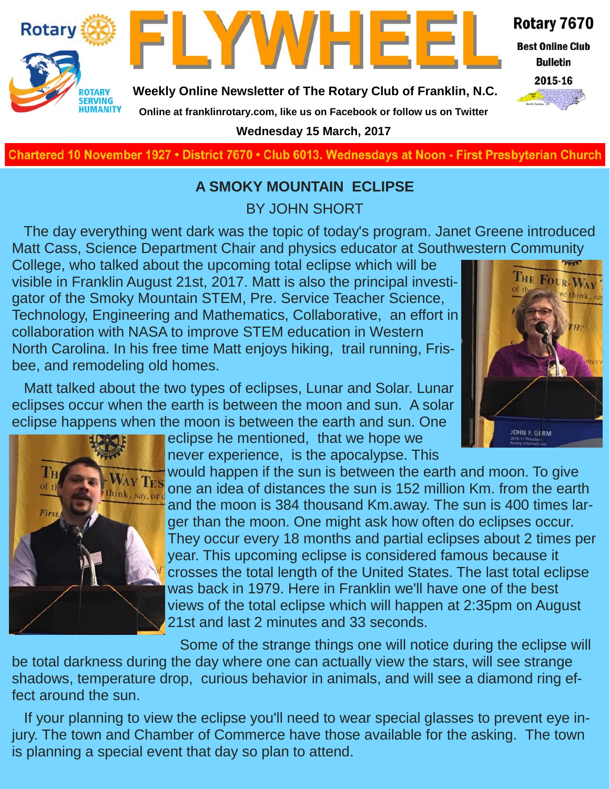

**Best Online Club Bulletin** 



**Rotary** 

**Weekly Online Newsletter of The Rotary Club of Franklin, N.C.**

FLYWHEE



**Online at franklinrotary.com, like us on Facebook or follow us on Twitter Wednesday 15 March, 2017**

**Charted November 29, 1927 • District 7670 • Club 6013 Wednesdays at Noon - First Presbyterian Church**

## **A SMOKY MOUNTAIN ECLIPSE**

BY JOHN SHORT

The day everything went dark was the topic of today's program. Janet Greene introduced Matt Cass, Science Department Chair and physics educator at Southwestern Community

College, who talked about the upcoming total eclipse which will be visible in Franklin August 21st, 2017. Matt is also the principal investigator of the Smoky Mountain STEM, Pre. Service Teacher Science, Technology, Engineering and Mathematics, Collaborative, an effort in collaboration with NASA to improve STEM education in Western North Carolina. In his free time Matt enjoys hiking, trail running, Frisbee, and remodeling old homes.



Matt talked about the two types of eclipses, Lunar and Solar. Lunar eclipses occur when the earth is between the moon and sun. A solar eclipse happens when the moon is between the earth and sun. One



eclipse he mentioned, that we hope we never experience, is the apocalypse. This

would happen if the sun is between the earth and moon. To give one an idea of distances the sun is 152 million Km. from the earth and the moon is 384 thousand Km.away. The sun is 400 times larger than the moon. One might ask how often do eclipses occur. They occur every 18 months and partial eclipses about 2 times per year. This upcoming eclipse is considered famous because it crosses the total length of the United States. The last total eclipse was back in 1979. Here in Franklin we'll have one of the best views of the total eclipse which will happen at 2:35pm on August 21st and last 2 minutes and 33 seconds.

Some of the strange things one will notice during the eclipse will be total darkness during the day where one can actually view the stars, will see strange shadows, temperature drop, curious behavior in animals, and will see a diamond ring effect around the sun.

If your planning to view the eclipse you'll need to wear special glasses to prevent eye injury. The town and Chamber of Commerce have those available for the asking. The town is planning a special event that day so plan to attend.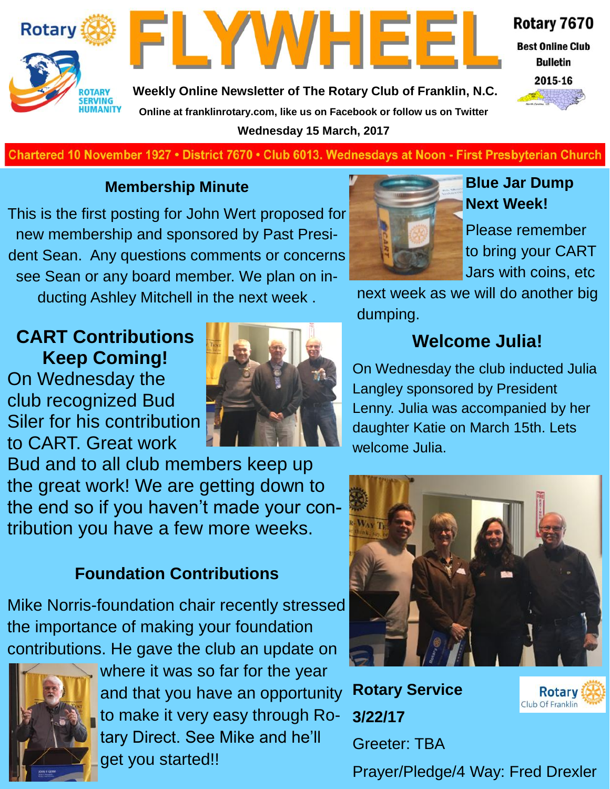



**Weekly Online Newsletter of The Rotary Club of Franklin, N.C. Online at franklinrotary.com, like us on Facebook or follow us on Twitter Wednesday 15 March, 2017**



**Best Online Club Bulletin** 



**Charted November 29, 1927 • District 7670 • Club 6013 Wednesdays at Noon - First Presbyterian Church**

### **Membership Minute**

This is the first posting for John Wert proposed for new membership and sponsored by Past President Sean. Any questions comments or concerns see Sean or any board member. We plan on inducting Ashley Mitchell in the next week .

## **CART Contributions Keep Coming!**

On Wednesday the club recognized Bud Siler for his contribution to CART. Great work



Bud and to all club members keep up the great work! We are getting down to the end so if you haven't made your contribution you have a few more weeks.

## **Foundation Contributions**

Mike Norris-foundation chair recently stressed the importance of making your foundation contributions. He gave the club an update on



where it was so far for the year and that you have an opportunity to make it very easy through Rotary Direct. See Mike and he'll get you started!!



## **Blue Jar Dump Next Week!**

Please remember to bring your CART Jars with coins, etc

next week as we will do another big dumping.

## **Welcome Julia!**

On Wednesday the club inducted Julia Langley sponsored by President Lenny. Julia was accompanied by her daughter Katie on March 15th. Lets welcome Julia.



**Rotary Service 3/22/17** Greeter: TBA



Prayer/Pledge/4 Way: Fred Drexler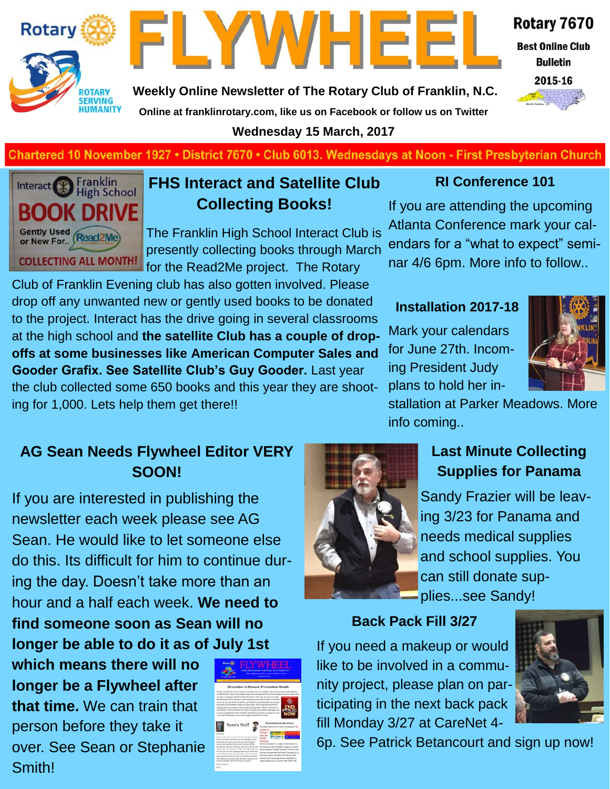



**Weekly Online Newsletter of The Rotary Club of Franklin, N.C.**

Rotary 7670

**Best Online Club Bulletin** 



**Online at franklinrotary.com, like us on Facebook or follow us on Twitter Wednesday 15 March, 2017**

**Charted November 29, 1927 • District 7670 • Club 6013 Wednesdays at Noon - First Presbyterian Church**



#### **FHS Interact and Satellite Club Collecting Books!**

The Franklin High School Interact Club is presently collecting books through March for the Read2Me project. The Rotary

Club of Franklin Evening club has also gotten involved. Please drop off any unwanted new or gently used books to be donated to the project. Interact has the drive going in several classrooms at the high school and **the satellite Club has a couple of dropoffs at some businesses like American Computer Sales and Gooder Grafix. See Satellite Club's Guy Gooder.** Last year the club collected some 650 books and this year they are shooting for 1,000. Lets help them get there!!

## **AG Sean Needs Flywheel Editor VERY SOON!**

If you are interested in publishing the newsletter each week please see AG Sean. He would like to let someone else do this. Its difficult for him to continue during the day. Doesn't take more than an hour and a half each week. **We need to find someone soon as Sean will no longer be able to do it as of July 1st** 

**which means there will no longer be a Flywheel after that time.** We can train that person before they take it over. See Sean or Stephanie Smith!



#### **RI Conference 101**

If you are attending the upcoming Atlanta Conference mark your calendars for a "what to expect" seminar 4/6 6pm. More info to follow..

#### **Installation 2017-18**

Mark your calendars for June 27th. Incoming President Judy plans to hold her in-



stallation at Parker Meadows. More info coming..

## **Last Minute Collecting Supplies for Panama**

Sandy Frazier will be leaving 3/23 for Panama and needs medical supplies and school supplies. You can still donate supplies...see Sandy!

#### **Back Pack Fill 3/27**

If you need a makeup or would like to be involved in a community project, please plan on participating in the next back pack fill Monday 3/27 at CareNet 4-



6p. See Patrick Betancourt and sign up now!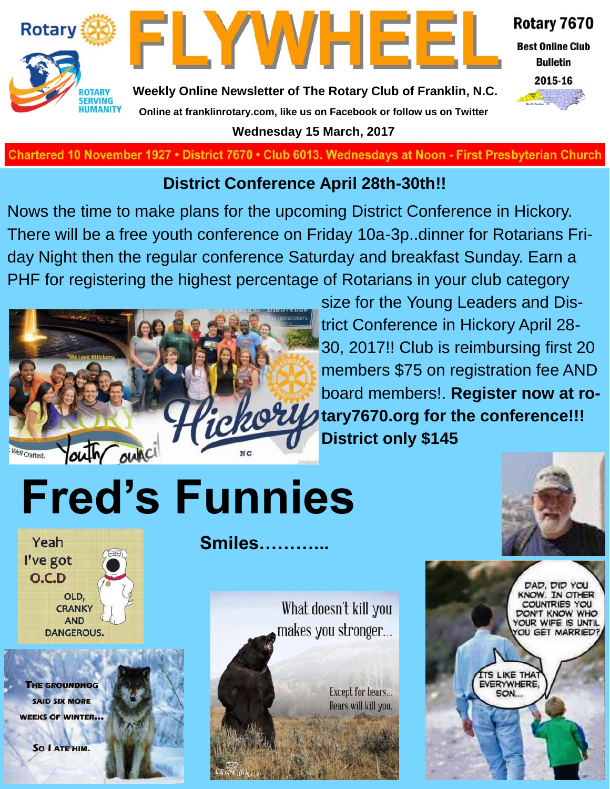



Rotary 7670

**Best Online Club Bulletin** 



**Weekly Online Newsletter of The Rotary Club of Franklin, N.C. Online at franklinrotary.com, like us on Facebook or follow us on Twitter Wednesday 15 March, 2017**

**Charted November 29, 1927 • District 7670 • Club 6013 Wednesdays at Noon - First Presbyterian Church**

## **District Conference April 28th-30th!!**

Nows the time to make plans for the upcoming District Conference in Hickory. There will be a free youth conference on Friday 10a-3p..dinner for Rotarians Friday Night then the regular conference Saturday and breakfast Sunday. Earn a PHF for registering the highest percentage of Rotarians in your club category



size for the Young Leaders and District Conference in Hickory April 28- 30, 2017!! Club is reimbursing first 20 members \$75 on registration fee AND board members!. **Register now at rothe fully tary7670.org for the conference!!! District only \$145**

# **Fred's Funnies**



Yeah I've got  $O.C.D$ OLD, **CRANKY AND DANGEROUS.** 

**THE GROUNDHOG SAID SIX MORE WEEKS OF WINTER...** 

SO I ATE HIM.



**Smiles………...**